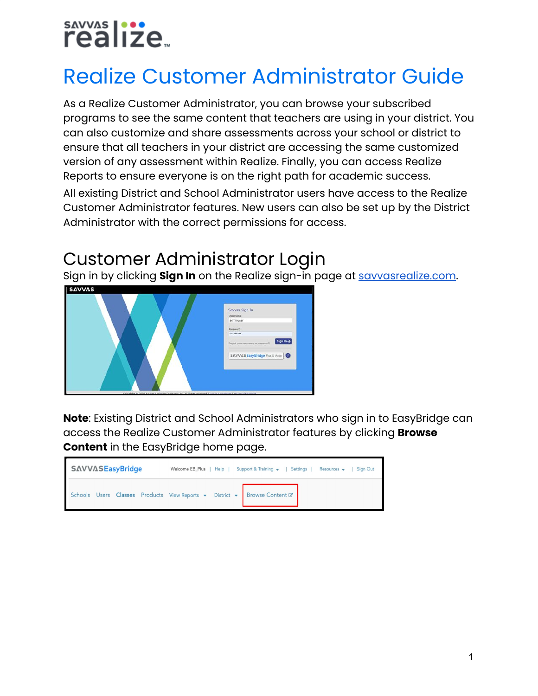# savvas | ...<br>realize...

## Realize Customer Administrator Guide

As a Realize Customer Administrator, you can browse your subscribed programs to see the same content that teachers are using in your district. You can also customize and share assessments across your school or district to ensure that all teachers in your district are accessing the same customized version of any assessment within Realize. Finally, you can access Realize Reports to ensure everyone is on the right path for academic success. All existing District and School Administrator users have access to the Realize Customer Administrator features. New users can also be set up by the District Administrator with the correct permissions for access.

## Customer Administrator Login

Sign in by clicking **Sign In** on the Realize sign-in page at [savvasrealize.com](http://www.savvasrealize.com/).



**Note**: Existing District and School Administrators who sign in to EasyBridge can access the Realize Customer Administrator features by clicking **Browse Content** in the EasyBridge home page.

| <b>SAVVASEasyBridge</b>                                                 | Welcome EB_Plus   Help   Support & Training v   Settings  <br>Resources $\rightarrow$<br>Sign Out |
|-------------------------------------------------------------------------|---------------------------------------------------------------------------------------------------|
| Schools Users Classes Products View Reports - District - Browse Content |                                                                                                   |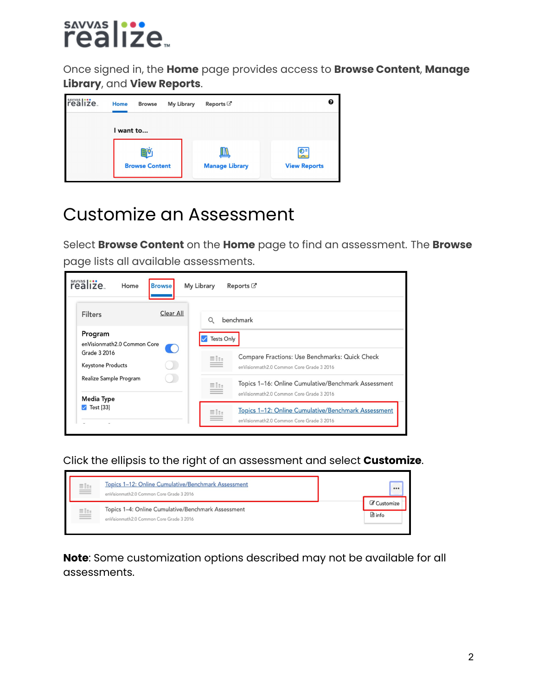## sayyas |**:::**<br>realize...

Once signed in, the **Home** page provides access to **Browse Content**, **Manage Library**, and **View Reports**.



## Customize an Assessment

Select **Browse Content** on the **Home** page to find an assessment. The **Browse** page lists all available assessments.

| realize.<br>Home                          | <b>Browse</b>                                      | My Library        | Reports <sup>C</sup>                                                                            |
|-------------------------------------------|----------------------------------------------------|-------------------|-------------------------------------------------------------------------------------------------|
| <b>Filters</b>                            | Clear All                                          | Q                 | benchmark                                                                                       |
| Program<br>enVisionmath2.0 Common Core    | $\left(\begin{array}{c} 0 \\ 1 \end{array}\right)$ | <b>Tests Only</b> |                                                                                                 |
| Grade 3 2016<br><b>Keystone Products</b>  |                                                    | ≣lo               | Compare Fractions: Use Benchmarks: Quick Check<br>enVisionmath2.0 Common Core Grade 3 2016      |
| Realize Sample Program                    |                                                    | milio             | Topics 1-16: Online Cumulative/Benchmark Assessment<br>enVisionmath2.0 Common Core Grade 3 2016 |
| <b>Media Type</b><br>$\sqrt{ }$ Test [33] |                                                    | milio             | Topics 1-12: Online Cumulative/Benchmark Assessment<br>enVisionmath2.0 Common Core Grade 3 2016 |

Click the ellipsis to the right of an assessment and select **Customize**.

| $\equiv$ | Topics 1-12: Online Cumulative/Benchmark Assessment<br>enVisionmath2.0 Common Core Grade 3 2016 |                          |
|----------|-------------------------------------------------------------------------------------------------|--------------------------|
| ≝        | Topics 1-4: Online Cumulative/Benchmark Assessment<br>enVisionmath2.0 Common Core Grade 3 2016  | Customize<br>$\Box$ info |

**Note**: Some customization options described may not be available for all assessments.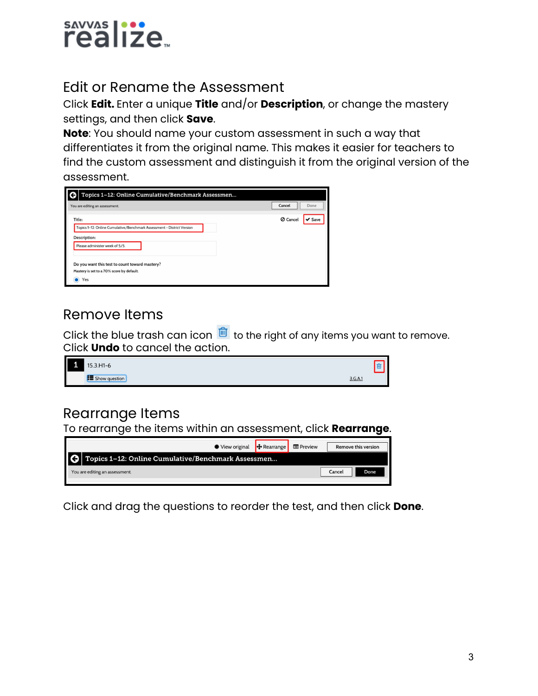

#### Edit or Rename the Assessment

Click **Edit.** Enter a unique **Title** and/or **Description**, or change the mastery settings, and then click **Save**.

**Note**: You should name your custom assessment in such a way that differentiates it from the original name. This makes it easier for teachers to find the custom assessment and distinguish it from the original version of the assessment.

| Topics 1-12: Online Cumulative/Benchmark Assessmen                                                 |                         |
|----------------------------------------------------------------------------------------------------|-------------------------|
| You are editing an assessment.                                                                     | Cancel<br>Done          |
| Title:<br>Topics 1-12: Online Cumulative/Benchmark Assessment - District Version                   | <b>Ø</b> Cancel<br>Save |
| <b>Description:</b><br>Please administer week of 5/5.                                              |                         |
| Do you want this test to count toward mastery?<br>Mastery is set to a 70% score by default.<br>Yes |                         |

#### Remove Items

Click the blue trash can icon  $\frac{10}{10}$  to the right of any items you want to remove. Click **Undo** to cancel the action.



#### Rearrange Items

To rearrange the items within an assessment, click **Rearrange**.

| <b>◆ View original</b>                             | $\bigoplus$ Rearrange | <b>ED</b> Preview | Remove this version |
|----------------------------------------------------|-----------------------|-------------------|---------------------|
| Topics 1-12: Online Cumulative/Benchmark Assessmen |                       |                   |                     |
| You are editing an assessment.                     |                       |                   | Done<br>Cance       |

Click and drag the questions to reorder the test, and then click **Done**.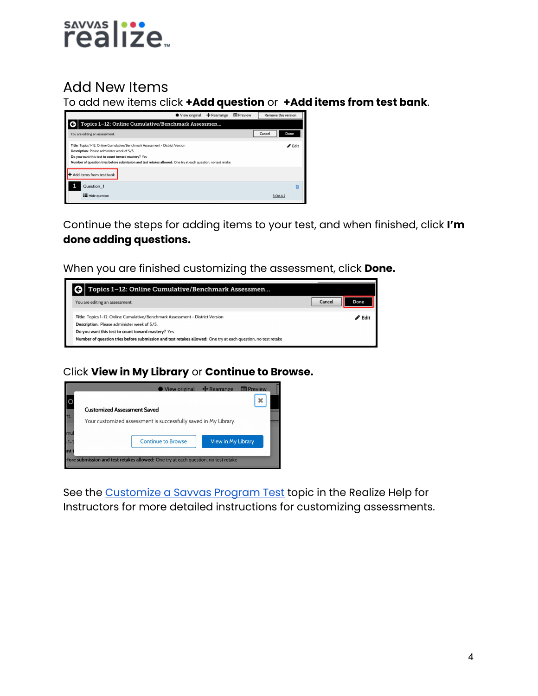

#### Add New Items

To add new items click **+Add question** or **+Add items from test bank**.



Continue the steps for adding items to your test, and when finished, click **I'm done adding questions.**

When you are finished customizing the assessment, click **Done.**



#### Click **View in My Library** or **Continue to Browse.**



See the [Customize](https://help.learningservicestechnology.com/realize/en/Instructor/Content/Instructor/Tests/assignments_customize_pptests.htm) a Savvas Program Test topic in the Realize Help for Instructors for more detailed instructions for customizing assessments.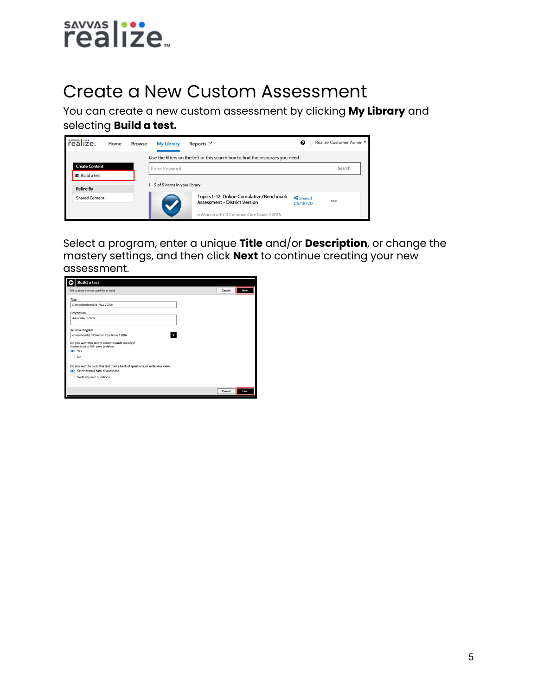

### Create a New Custom Assessment

You can create a new custom assessment by clicking **My Library** and selecting **Build a test.**

| realize.              | Home | <b>Browse</b> | <b>My Library</b>                | Reports $\mathbb{Z}^n$                                                           | ❸                  | Realize Customer Admin ▼ |
|-----------------------|------|---------------|----------------------------------|----------------------------------------------------------------------------------|--------------------|--------------------------|
|                       |      |               |                                  | Use the filters on the left or this search box to find the resources you need.   |                    |                          |
| <b>Create Content</b> |      |               | Enter Keyword                    |                                                                                  |                    | Search                   |
| 量 Build a test        |      |               |                                  |                                                                                  |                    |                          |
| <b>Refine By</b>      |      |               | 1 - 5 of 5 items in your library |                                                                                  |                    |                          |
| <b>Shared Content</b> |      |               |                                  | Topics 1-12: Online Cumulative/Benchmark<br><b>Assessment - District Version</b> | Shared<br>05/18/20 |                          |
|                       |      |               |                                  | enVisionmath2.0 Common Core Grade 3 2016                                         |                    |                          |

Select a program, enter a unique **Title** and/or **Description**, or change the mastery settings, and then click **Next** to continue creating your new assessment.

| Tell us about the test you'd like to build.                                                | Cancel | Next |
|--------------------------------------------------------------------------------------------|--------|------|
| Title:                                                                                     |        |      |
| District Benchmark III (FALL 2020)                                                         |        |      |
| Description:                                                                               |        |      |
| Administer by 9/22.                                                                        |        |      |
| Select a Program                                                                           |        |      |
| enVisionmath2.0 Common Core Grade 3 2016<br>۰                                              |        |      |
| Do you want this test to count towards mastery?<br>Mastery is set to 70% score by default. |        |      |
| Yes                                                                                        |        |      |
| No                                                                                         |        |      |
| Do you want to build this test from a bank of questions, or write your own?                |        |      |
| Select from a bank of questions<br>۵                                                       |        |      |
| Write my own questions                                                                     |        |      |
|                                                                                            |        |      |
|                                                                                            | Cancel | Next |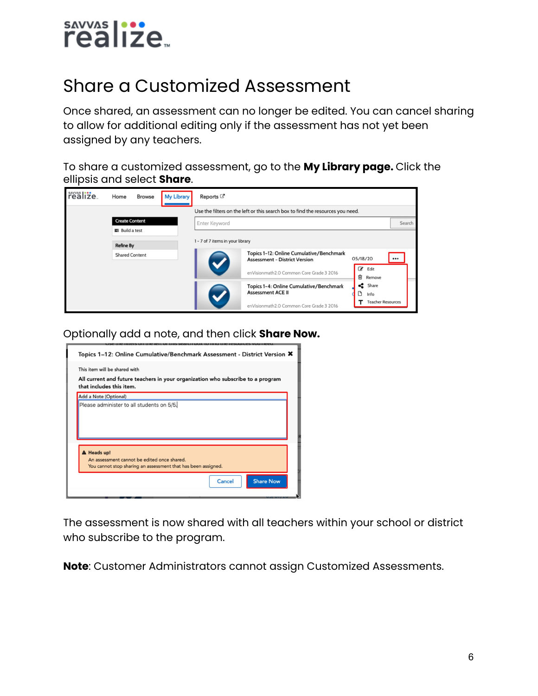

## Share a Customized Assessment

Once shared, an assessment can no longer be edited. You can cancel sharing to allow for additional editing only if the assessment has not yet been assigned by any teachers.

To share a customized assessment, go to the **My Library page.** Click the ellipsis and select **Share**.



Optionally add a note, and then click **Share Now.**



The assessment is now shared with all teachers within your school or district who subscribe to the program.

**Note**: Customer Administrators cannot assign Customized Assessments.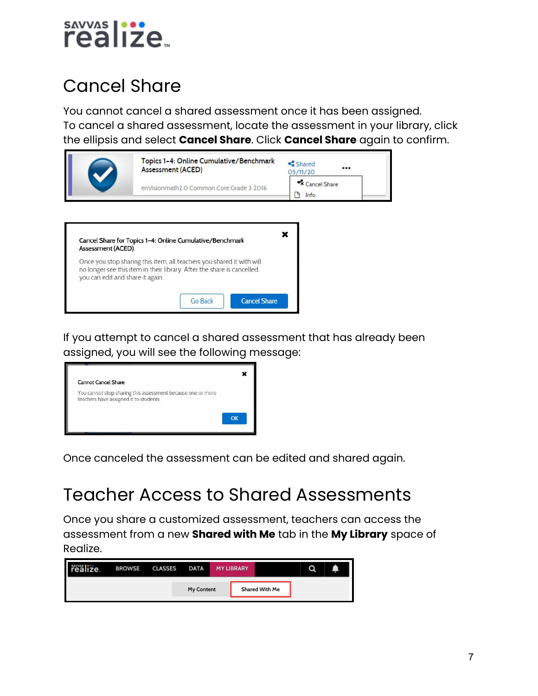

## Cancel Share

You cannot cancel a shared assessment once it has been assigned. To cancel a shared assessment, locate the assessment in your library, click the ellipsis and select **Cancel Share**. Click **Cancel Share** again to confirm.

|                                  | Assessment (ACED)                                                                                                                                | <shared<br><br/>05/11/20</shared<br> |
|----------------------------------|--------------------------------------------------------------------------------------------------------------------------------------------------|--------------------------------------|
|                                  | enVisionmath2 O Common Core Grade 3 2016                                                                                                         | <sup>«</sup> X Cancel Share<br>Info  |
|                                  |                                                                                                                                                  |                                      |
|                                  |                                                                                                                                                  |                                      |
|                                  |                                                                                                                                                  |                                      |
| Assessment (ACED)                | Cancel Share for Topics 1-4: Online Cumulative/Benchmark                                                                                         |                                      |
| you can edit and share it again. | Once you stop sharing this item, all teachers you shared it with will<br>no longer see this item in their library. After the share is cancelled, |                                      |

If you attempt to cancel a shared assessment that has already been assigned, you will see the following message:



Once canceled the assessment can be edited and shared again.

### Teacher Access to Shared Assessments

Once you share a customized assessment, teachers can access the assessment from a new **Shared with Me** tab in the **My Library** space of Realize.